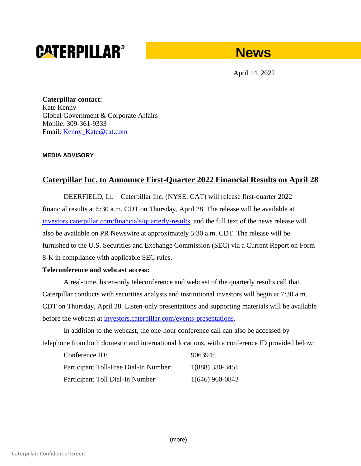# **CATERPILLAR®**

# **News**

April 14, 2022

**Caterpillar contact:** Kate Kenny Global Government & Corporate Affairs Mobile: 309-361-9333 Email: Kenny Kate@cat.com

#### **MEDIA ADVISORY**

## **Caterpillar Inc. to Announce First-Quarter 2022 Financial Results on April 28**

DEERFIELD, Ill. – Caterpillar Inc. (NYSE: CAT) will release first-quarter 2022 financial results at 5:30 a.m. CDT on Thursday, April 28. The release will be available at [investors.caterpillar.com/financials/quarterly-results,](https://urldefense.proofpoint.com/v2/url?u=http-3A__investors.caterpillar.com_financials_quarterly-2Dresults_default.aspx&d=DwMFaQ&c=p0oa49nxxGtbbM2qgM-GB4r4m9OlGg-sEp8sXylY2aQ&r=ChFpIDwMP3n2mDVetqg7nUR0q8asxGdkIPgxegz0rXo&m=JXGIGH4hUTT8HRfLkToNol34SAB1cTYaakKAvb2w_Ow&s=hQhvaBY5jqQBUCYGDjzDKj37obDqxXwNPtAm_tVPR6I&e=) and the full text of the news release will also be available on PR Newswire at approximately 5:30 a.m. CDT. The release will be furnished to the U.S. Securities and Exchange Commission (SEC) via a Current Report on Form 8-K in compliance with applicable SEC rules.

### **Teleconference and webcast access:**

A real-time, listen-only teleconference and webcast of the quarterly results call that Caterpillar conducts with securities analysts and institutional investors will begin at 7:30 a.m. CDT on Thursday, April 28. Listen-only presentations and supporting materials will be available before the webcast at [investors.caterpillar.com/events-presentations.](https://urldefense.proofpoint.com/v2/url?u=http-3A__investors.caterpillar.com_events-2Dpresentations_default.aspx&d=DwMFaQ&c=p0oa49nxxGtbbM2qgM-GB4r4m9OlGg-sEp8sXylY2aQ&r=ChFpIDwMP3n2mDVetqg7nUR0q8asxGdkIPgxegz0rXo&m=JXGIGH4hUTT8HRfLkToNol34SAB1cTYaakKAvb2w_Ow&s=4lvfR9N_rhbP-7QwP0Pz0IVB0dhvKlQALIQFOchfKKs&e=)

In addition to the webcast, the one-hour conference call can also be accessed by telephone from both domestic and international locations, with a conference ID provided below:

| Conference ID:<br>Participant Toll-Free Dial-In Number:<br>Participant Toll Dial-In Number: | 9063945<br>1(888) 330-3451 |
|---------------------------------------------------------------------------------------------|----------------------------|
|                                                                                             |                            |